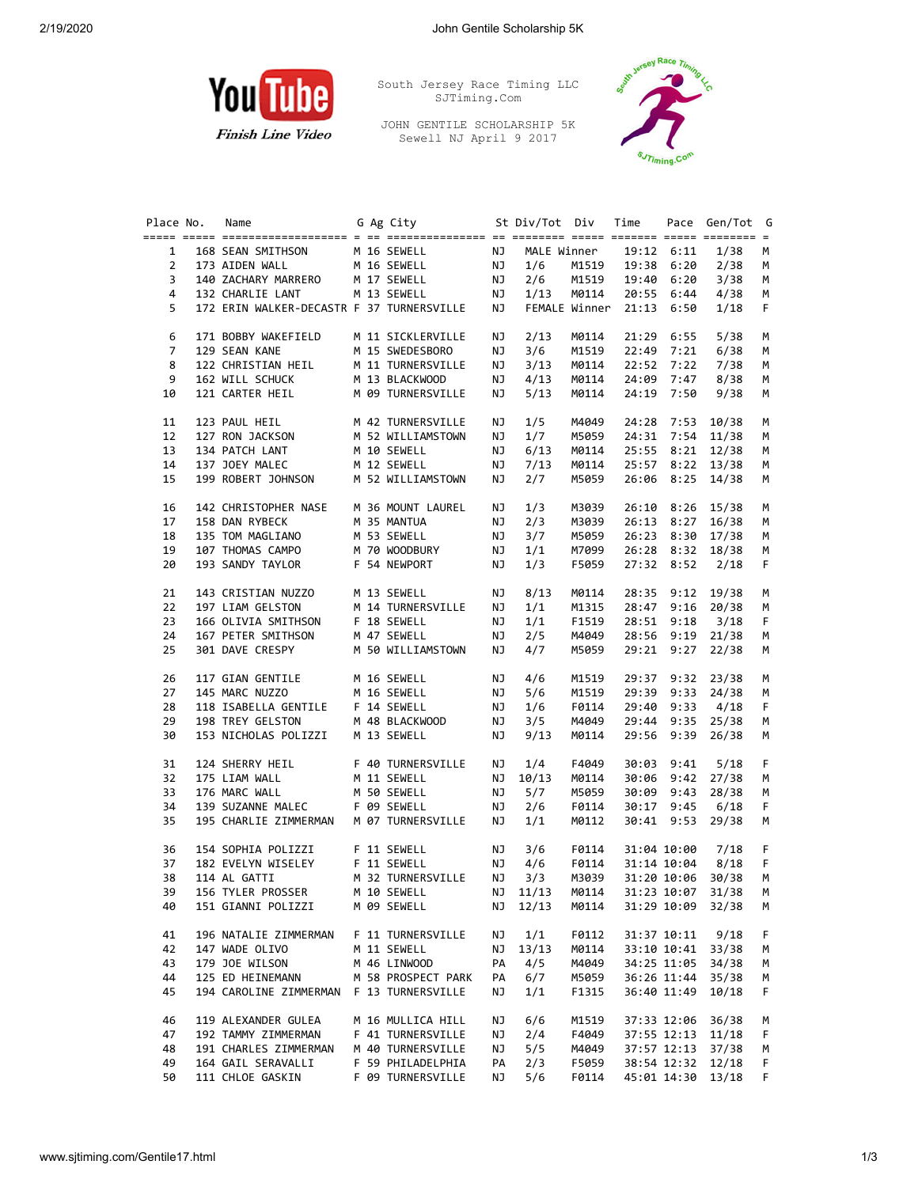

**Finish Line Video** 

South Jersey Race Timing LLC SJTiming.Com

JOHN GENTILE SCHOLARSHIP 5K Sewell NJ April 9 2017



| Place No. | Name                                                       |  | G Ag City                                 |           | St Div/Tot Div |       | Time  |             | Pace Gen/Tot G    |         |
|-----------|------------------------------------------------------------|--|-------------------------------------------|-----------|----------------|-------|-------|-------------|-------------------|---------|
|           |                                                            |  |                                           |           |                |       |       |             |                   |         |
| 1         | 168 SEAN SMITHSON                                          |  | M 16 SEWELL<br>M 16 SEWELL<br>M 16 SEWELL | NJ        | MALE Winner    |       |       | 19:12 6:11  | 1/38              | м       |
| 2         | 173 AIDEN WALL                                             |  |                                           | NJ        | 1/6            | M1519 |       | 19:38 6:20  | 2/38              | М       |
| 3         | 140 ZACHARY MARRERO M 17 SEWELL                            |  |                                           | NJ        | 2/6            | M1519 | 19:40 | 6:20        | 3/38              | M       |
| 4         | 132 CHARLIE LANT                                           |  | M 13 SEWELL                               | <b>NJ</b> | 1/13           | M0114 |       | 20:55 6:44  | 4/38              | М       |
| 5         | 172 ERIN WALKER-DECASTR F 37 TURNERSVILLE                  |  |                                           | NJ        | FEMALE Winner  |       |       | 21:13 6:50  | 1/18              | F       |
| 6         | 171 BOBBY WAKEFIELD                                        |  | M 11 SICKLERVILLE                         | NJ        | 2/13           | M0114 |       | 21:29 6:55  | 5/38              | М       |
| 7         | 129 SEAN KANE                                              |  | M 15 SWEDESBORO                           | NJ        | 3/6            | M1519 |       | 22:49 7:21  | 6/38              | М       |
| 8         | 122 CHRISTIAN HEIL                                         |  | M 11 TURNERSVILLE                         | NJ        | 3/13           | M0114 |       | 22:52 7:22  | 7/38              | М       |
| 9         | 162 WILL SCHUCK                                            |  | M 13 BLACKWOOD                            | NJ        | 4/13           | M0114 |       | 24:09 7:47  | 8/38              | М       |
| 10        | 121 CARTER HEIL                                            |  | M 09 TURNERSVILLE                         | NJ        | 5/13           | M0114 |       | 24:19 7:50  | 9/38              | M       |
| 11        | 123 PAUL HEIL                                              |  | M 42 TURNERSVILLE                         | NJ        | 1/5            | M4049 | 24:28 | 7:53        | 10/38             | M       |
| 12        | 127 RON JACKSON                                            |  | M 52 WILLIAMSTOWN                         | NJ        | 1/7            | M5059 |       |             | 24:31 7:54 11/38  | М       |
| 13        | 134 PATCH LANT                                             |  | M 10 SEWELL                               | ΝJ        | 6/13           | M0114 |       |             | 25:55 8:21 12/38  | М       |
| 14        | 137 JOEY MALEC                                             |  | M 12 SEWELL                               | NJ        | 7/13           | M0114 |       |             | 25:57 8:22 13/38  | М       |
| 15        | 199 ROBERT JOHNSON                                         |  | M 52 WILLIAMSTOWN                         | ΝJ        | 2/7            | M5059 |       |             | 26:06 8:25 14/38  | М       |
| 16        | 142 CHRISTOPHER NASE                                       |  | M 36 MOUNT LAUREL                         | ΝJ        | 1/3            | M3039 |       | 26:10 8:26  | 15/38             | М       |
| 17        | 158 DAN RYBECK                                             |  | M 35 MANTUA                               | NJ        | 2/3            | M3039 |       |             | 26:13 8:27 16/38  | М       |
| 18        | 135 TOM MAGLIANO                                           |  | M 53 SEWELL                               | NJ        | 3/7            | M5059 |       |             | 26:23 8:30 17/38  | М       |
| 19        | 107 THOMAS CAMPO                                           |  | M 70 WOODBURY                             | NJ        | 1/1            | M7099 |       |             | 26:28 8:32 18/38  | М       |
| 20        | 193 SANDY TAYLOR                                           |  | F 54 NEWPORT                              | NJ        | 1/3            | F5059 |       | 27:32 8:52  | 2/18              | F       |
| 21        | 143 CRISTIAN NUZZO                                         |  | M 13 SEWELL                               | NJ        | 8/13           | M0114 |       |             | 28:35 9:12 19/38  | М       |
| 22        | 197 LIAM GELSTON                                           |  | M 14 TURNERSVILLE                         | NJ        | 1/1            | M1315 |       |             | 28:47 9:16 20/38  | М       |
| 23        | 197 LIAM GELJIVI.<br>166 OLIVIA SMITHSON<br>-- CHITHSON    |  | F 18 SEWELL                               | NJ        | 1/1            | F1519 |       | 28:51 9:18  | 3/18              | F       |
| 24        | 167 PETER SMITHSON                                         |  | M 47 SEWELL                               | NJ        | 2/5            | M4049 |       |             | 28:56 9:19 21/38  | М       |
| 25        | 301 DAVE CRESPY                                            |  | M 50 WILLIAMSTOWN                         | ΝJ        | 4/7            | M5059 |       | 29:21 9:27  | 22/38             | М       |
| 26        | 117 GIAN GENTILE                                           |  | M 16 SEWELL                               | NJ        | 4/6            | M1519 |       |             | 29:37 9:32 23/38  | M       |
| 27        | 145 MARC NUZZO                                             |  | M 16 SEWELL                               | NJ        | 5/6            | M1519 |       |             | 29:39 9:33 24/38  | М       |
| 28        | 118 ISABELLA GENTILE F 14 SEWELL                           |  |                                           | NJ        | 1/6            | F0114 | 29:40 | 9:33        | 4/18              | F       |
| 29        | 198 TREY GELSTON                                           |  | M 48 BLACKWOOD                            | NJ        | 3/5            | M4049 |       |             | 29:44 9:35 25/38  | М       |
| 30        | 153 NICHOLAS POLIZZI                                       |  | M 13 SEWELL                               | NJ        | 9/13           | M0114 |       |             | 29:56 9:39 26/38  | М       |
| 31        | 124 SHERRY HEIL                                            |  | F 40 TURNERSVILLE                         | NJ        | 1/4            | F4049 | 30:03 | 9:41        | 5/18              | F       |
| 32        | 175 LIAM WALL                                              |  | M 11 SEWELL                               | NJ        | 10/13          | M0114 | 30:06 |             | $9:42$ 27/38      | М       |
| 33        | 176 MARC WALL                                              |  | M 50 SEWELL                               | NJ        | 5/7            | M5059 | 30:09 |             | $9:43$ 28/38      | М       |
| 34        | 176 MARC WALL M 50 SEWELL<br>139 SUZANNE MALEC F 09 SEWELL |  |                                           | NJ        | 2/6            | F0114 |       | 30:17 9:45  | 6/18              | F       |
| 35        | 195 CHARLIE ZIMMERMAN                                      |  | M 07 TURNERSVILLE                         | NJ        | 1/1            | M0112 |       |             | 30:41 9:53 29/38  | М       |
| 36        | 154 SOPHIA POLIZZI                                         |  | F 11 SEWELL                               | NJ        | 3/6            | F0114 |       | 31:04 10:00 | 7/18              | F       |
| 37        | 182 EVELYN WISELEY                                         |  | F 11 SEWELL                               | NJ        | 4/6            | F0114 |       | 31:14 10:04 | 8/18              | F.      |
| 38        | 114 AL GATTI                                               |  | M 32 TURNERSVILLE                         | NJ        | 3/3            | M3039 |       |             | 31:20 10:06 30/38 | М       |
| 39        | 156 TYLER PROSSER                                          |  | M 10 SEWELL                               | NJ        | 11/13          | M0114 |       | 31:23 10:07 | 31/38             | М       |
| 40        | 151 GIANNI POLIZZI                                         |  | M 09 SEWELL                               | ΝJ        | 12/13          | M0114 |       |             | 31:29 10:09 32/38 | М       |
| 41        | 196 NATALIE ZIMMERMAN                                      |  | F 11 TURNERSVILLE                         | ΝJ        | 1/1            | F0112 |       | 31:37 10:11 | 9/18              | F       |
| 42        | 147 WADE OLIVO                                             |  | M 11 SEWELL                               | ΝJ        | 13/13          | M0114 |       |             | 33:10 10:41 33/38 | м       |
| 43        | 179 JOE WILSON                                             |  | M 46 LINWOOD                              | PA        | 4/5            | M4049 |       | 34:25 11:05 | 34/38             | M       |
| 44        | 125 ED HEINEMANN                                           |  | M 58 PROSPECT PARK                        | PA        | 6/7            | M5059 |       | 36:26 11:44 | 35/38             | М       |
| 45        | 194 CAROLINE ZIMMERMAN                                     |  | F 13 TURNERSVILLE                         | ΝJ        | 1/1            | F1315 |       | 36:40 11:49 | 10/18             | F       |
| 46        | 119 ALEXANDER GULEA                                        |  | M 16 MULLICA HILL                         | ΝJ        | 6/6            | M1519 |       | 37:33 12:06 | 36/38             |         |
| 47        | 192 TAMMY ZIMMERMAN                                        |  | F 41 TURNERSVILLE                         | ΝJ        | 2/4            | F4049 |       | 37:55 12:13 | 11/18             | M<br>F. |
| 48        | 191 CHARLES ZIMMERMAN                                      |  | M 40 TURNERSVILLE                         | ΝJ        | 5/5            | M4049 |       | 37:57 12:13 | 37/38             |         |
| 49        | 164 GAIL SERAVALLI                                         |  |                                           |           |                |       |       | 38:54 12:32 |                   | M       |
|           |                                                            |  | F 59 PHILADELPHIA                         | PA        | 2/3            | F5059 |       |             | 12/18             | F       |
| 50        | 111 CHLOE GASKIN                                           |  | F 09 TURNERSVILLE                         | ΝJ        | 5/6            | F0114 |       | 45:01 14:30 | 13/18             | F       |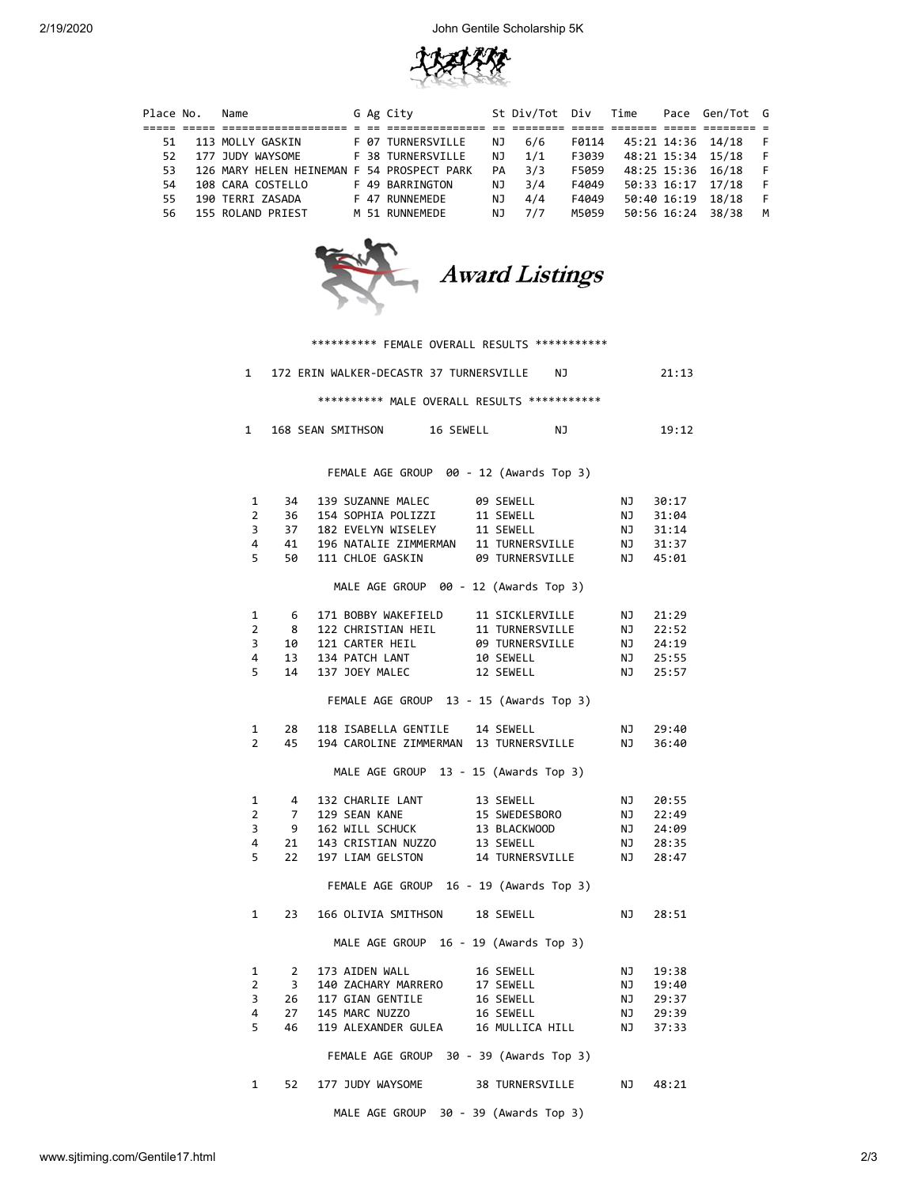2/19/2020 John Gentile Scholarship 5K



| Place No. | Name                                       |  | G Ag City                |     | St Div/Tot Div |       | Time |             | Pace Gen/Tot G    |     |
|-----------|--------------------------------------------|--|--------------------------|-----|----------------|-------|------|-------------|-------------------|-----|
|           |                                            |  |                          |     |                |       |      |             |                   |     |
| 51.       | 113 MOLLY GASKIN                           |  | <b>F 07 TURNERSVILLE</b> | ΝJ  | 6/6            | F0114 |      |             | 45:21 14:36 14/18 |     |
| 52.       | 177 JUDY WAYSOME                           |  | F 38 TURNERSVILLE        | NJ. | 1/1            | F3039 |      |             | 48:21 15:34 15/18 | - F |
| 53.       | 126 MARY HELEN HEINEMAN F 54 PROSPECT PARK |  |                          | PA  | 3/3            | F5059 |      |             | 48:25 15:36 16/18 | - F |
| 54        | 108 CARA COSTELLO                          |  | F 49 BARRINGTON          | NJ. | 3/4            | F4049 |      |             | 50:33 16:17 17/18 |     |
| 55.       | 190 TERRI ZASADA                           |  | F 47 RUNNEMEDE           | NJ. | 4/4            | F4049 |      | 50:40 16:19 | 18/18             | - F |
| 56.       | 155 ROLAND PRIEST                          |  | M 51 RUNNEMEDE           | ΝJ  | 7/7            | M5059 |      | 50:56 16:24 | 38/38             | М   |



|                                         |                         | *********** FEMALE OVERALL RESULTS ************                                 |                                                                                                                           |                 |           |          |  |  |  |  |  |  |
|-----------------------------------------|-------------------------|---------------------------------------------------------------------------------|---------------------------------------------------------------------------------------------------------------------------|-----------------|-----------|----------|--|--|--|--|--|--|
|                                         |                         | 1 172 ERIN WALKER-DECASTR 37 TURNERSVILLE                                       |                                                                                                                           | NJ 1            |           | 21:13    |  |  |  |  |  |  |
|                                         |                         |                                                                                 | ********** MALE OVERALL RESULTS ************                                                                              |                 |           |          |  |  |  |  |  |  |
| $\mathbf{1}$                            |                         | 168 SEAN SMITHSON 16 SEWELL                                                     |                                                                                                                           | NJ.             |           | 19:12    |  |  |  |  |  |  |
| FEMALE AGE GROUP 00 - 12 (Awards Top 3) |                         |                                                                                 |                                                                                                                           |                 |           |          |  |  |  |  |  |  |
|                                         |                         |                                                                                 |                                                                                                                           |                 |           |          |  |  |  |  |  |  |
| $\mathbf{1}$                            | 34                      | 139 SUZANNE MALEC                                                               | 09 SEWELL                                                                                                                 |                 | <b>NJ</b> | 30:17    |  |  |  |  |  |  |
| $\overline{2}$                          | 36                      |                                                                                 | 153 SOCKING TABLE<br>154 SOPHIA POLIZZI 11 SEWELL<br>182 EVELYN WISELEY 11 SEWELL                                         |                 | ΝJ        | 31:04    |  |  |  |  |  |  |
| 3                                       | 37                      |                                                                                 |                                                                                                                           |                 | NJ        | 31:14    |  |  |  |  |  |  |
| 4                                       |                         | 41 196 NATALIE ZIMMERMAN 11 TURNERSVILLE<br>50 111 CHLOE GASKIN 09 TURNERSVILLE |                                                                                                                           |                 |           | NJ 31:37 |  |  |  |  |  |  |
| 5                                       |                         |                                                                                 |                                                                                                                           |                 |           | NJ 45:01 |  |  |  |  |  |  |
|                                         |                         |                                                                                 | MALE AGE GROUP 00 - 12 (Awards Top 3)                                                                                     |                 |           |          |  |  |  |  |  |  |
| 1                                       | - 6                     |                                                                                 |                                                                                                                           |                 |           | 21:29    |  |  |  |  |  |  |
| $\overline{2}$                          | 8                       | 122 CHRISTIAN HEIL                                                              | 171 BOBBY WAKEFIELD 11 SICKLERVILLE NJ<br>122 CHRISTIAN HEIL 11 TURNERSVILLE NJ<br>121 CARTER HEIL 09 TURNERSVILLE NJ     |                 |           | 22:52    |  |  |  |  |  |  |
| 3                                       | 10                      | 121 CARTER HEIL                                                                 |                                                                                                                           |                 | LN<br>NJ  | 24:19    |  |  |  |  |  |  |
| 4                                       | 13                      | 134 PATCH LANT                                                                  |                                                                                                                           |                 | NJ        | 25:55    |  |  |  |  |  |  |
| 5                                       |                         | 14 137 JOEY MALEC                                                               | 10 SEWELL<br>12 SEWELL                                                                                                    |                 | NJ        | 25:57    |  |  |  |  |  |  |
|                                         |                         |                                                                                 |                                                                                                                           |                 |           |          |  |  |  |  |  |  |
|                                         |                         |                                                                                 | FEMALE AGE GROUP 13 - 15 (Awards Top 3)                                                                                   |                 |           |          |  |  |  |  |  |  |
| $\mathbf{1}$                            | 28                      |                                                                                 | 118 ISABELLA GENTILE 14 SEWELL                                                                                            |                 | NJ        | 29:40    |  |  |  |  |  |  |
| $\overline{2}$                          | 45                      |                                                                                 | 194 CAROLINE ZIMMERMAN 13 TURNERSVILLE                                                                                    |                 | NJ        | 36:40    |  |  |  |  |  |  |
|                                         |                         |                                                                                 | MALE AGE GROUP 13 - 15 (Awards Top 3)                                                                                     |                 |           |          |  |  |  |  |  |  |
|                                         |                         |                                                                                 |                                                                                                                           |                 |           |          |  |  |  |  |  |  |
| 1                                       | $\overline{4}$          |                                                                                 | 132 CHARLIE LANT 13 SEWELL<br>129 SEAN KANE 15 SWEDESBORO<br>162 WILL SCHUCK 13 BLACKWOOD<br>143 CRISTIAN NUZZO 13 SEWELL |                 | NJ        | 20:55    |  |  |  |  |  |  |
| $\overline{2}$                          | $\overline{7}$          | 129 SEAN KANE                                                                   |                                                                                                                           |                 | NJ<br>NJ  | 22:49    |  |  |  |  |  |  |
| 3                                       | - 9                     |                                                                                 |                                                                                                                           |                 |           | 24:09    |  |  |  |  |  |  |
| 4                                       | 21                      | 143 CRISTIAN NUZZO                                                              |                                                                                                                           |                 | NJ        | 28:35    |  |  |  |  |  |  |
| 5                                       | 22                      | 197 LIAM GELSTON                                                                |                                                                                                                           | 14 TURNERSVILLE | <b>NJ</b> | 28:47    |  |  |  |  |  |  |
|                                         |                         |                                                                                 | FEMALE AGE GROUP 16 - 19 (Awards Top 3)                                                                                   |                 |           |          |  |  |  |  |  |  |
| 1                                       | 23                      |                                                                                 | 166 OLIVIA SMITHSON 18 SEWELL                                                                                             |                 | NJ 1      | 28:51    |  |  |  |  |  |  |
|                                         |                         |                                                                                 | MALE AGE GROUP 16 - 19 (Awards Top 3)                                                                                     |                 |           |          |  |  |  |  |  |  |
| 1                                       | $\overline{2}$          | 173 AIDEN WALL                                                                  | 16 SEWELL                                                                                                                 |                 | NJ        | 19:38    |  |  |  |  |  |  |
| $\overline{2}$                          | $\overline{\mathbf{3}}$ |                                                                                 |                                                                                                                           |                 | NJ.       | 19:40    |  |  |  |  |  |  |
| 3                                       | 26                      | 117 GIAN GENTILE                                                                | 175 MIDEN WALE<br>140 ZACHARY MARRERO 17 SEWELL<br>117 GIAN GENTILE 16 SEWELL                                             |                 | NJ        | 29:37    |  |  |  |  |  |  |
| 4                                       | 27                      | 145 MARC NUZZO                                                                  |                                                                                                                           |                 | NJ        | 29:39    |  |  |  |  |  |  |
| 5                                       | 46                      |                                                                                 | 145 MARC NUZZO 16 SEWELL<br>119 ALEXANDER GULEA 16 MULLICA HILL                                                           |                 | NJ.       | 37:33    |  |  |  |  |  |  |
|                                         |                         |                                                                                 |                                                                                                                           |                 |           |          |  |  |  |  |  |  |
|                                         |                         |                                                                                 | FEMALE AGE GROUP 30 - 39 (Awards Top 3)                                                                                   |                 |           |          |  |  |  |  |  |  |
| $\mathbf{1}$                            | 52                      | 177 JUDY WAYSOME                                                                |                                                                                                                           | 38 TURNERSVILLE | NJ        | 48:21    |  |  |  |  |  |  |

MALE AGE GROUP 30 - 39 (Awards Top 3)